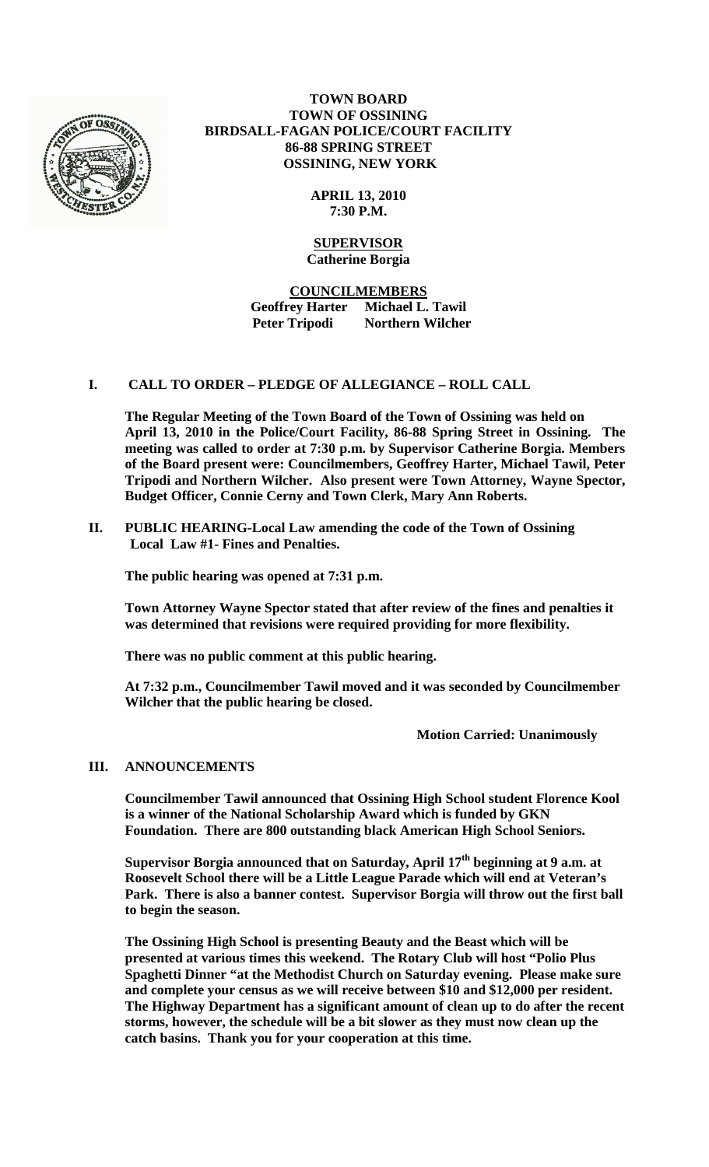

# **TOWN BOARD TOWN OF OSSINING BIRDSALL-FAGAN POLICE/COURT FACILITY 86-88 SPRING STREET OSSINING, NEW YORK**

**APRIL 13, 2010 7:30 P.M.**

#### **SUPERVISOR Catherine Borgia**

**COUNCILMEMBERS Geoffrey Harter Michael L. Tawil Peter Tripodi Northern Wilcher**

# **I. CALL TO ORDER – PLEDGE OF ALLEGIANCE – ROLL CALL**

**The Regular Meeting of the Town Board of the Town of Ossining was held on April 13, 2010 in the Police/Court Facility, 86-88 Spring Street in Ossining. The meeting was called to order at 7:30 p.m. by Supervisor Catherine Borgia. Members of the Board present were: Councilmembers, Geoffrey Harter, Michael Tawil, Peter Tripodi and Northern Wilcher. Also present were Town Attorney, Wayne Spector, Budget Officer, Connie Cerny and Town Clerk, Mary Ann Roberts.**

**II. PUBLIC HEARING-Local Law amending the code of the Town of Ossining Local Law #1- Fines and Penalties.**

**The public hearing was opened at 7:31 p.m.**

**Town Attorney Wayne Spector stated that after review of the fines and penalties it was determined that revisions were required providing for more flexibility.**

**There was no public comment at this public hearing.**

**At 7:32 p.m., Councilmember Tawil moved and it was seconded by Councilmember Wilcher that the public hearing be closed.**

**Motion Carried: Unanimously**

# **III. ANNOUNCEMENTS**

**Councilmember Tawil announced that Ossining High School student Florence Kool is a winner of the National Scholarship Award which is funded by GKN Foundation. There are 800 outstanding black American High School Seniors.**

**Supervisor Borgia announced that on Saturday, April 17th beginning at 9 a.m. at Roosevelt School there will be a Little League Parade which will end at Veteran's Park. There is also a banner contest. Supervisor Borgia will throw out the first ball to begin the season.** 

**The Ossining High School is presenting Beauty and the Beast which will be presented at various times this weekend. The Rotary Club will host "Polio Plus Spaghetti Dinner "at the Methodist Church on Saturday evening. Please make sure and complete your census as we will receive between \$10 and \$12,000 per resident. The Highway Department has a significant amount of clean up to do after the recent storms, however, the schedule will be a bit slower as they must now clean up the catch basins. Thank you for your cooperation at this time.**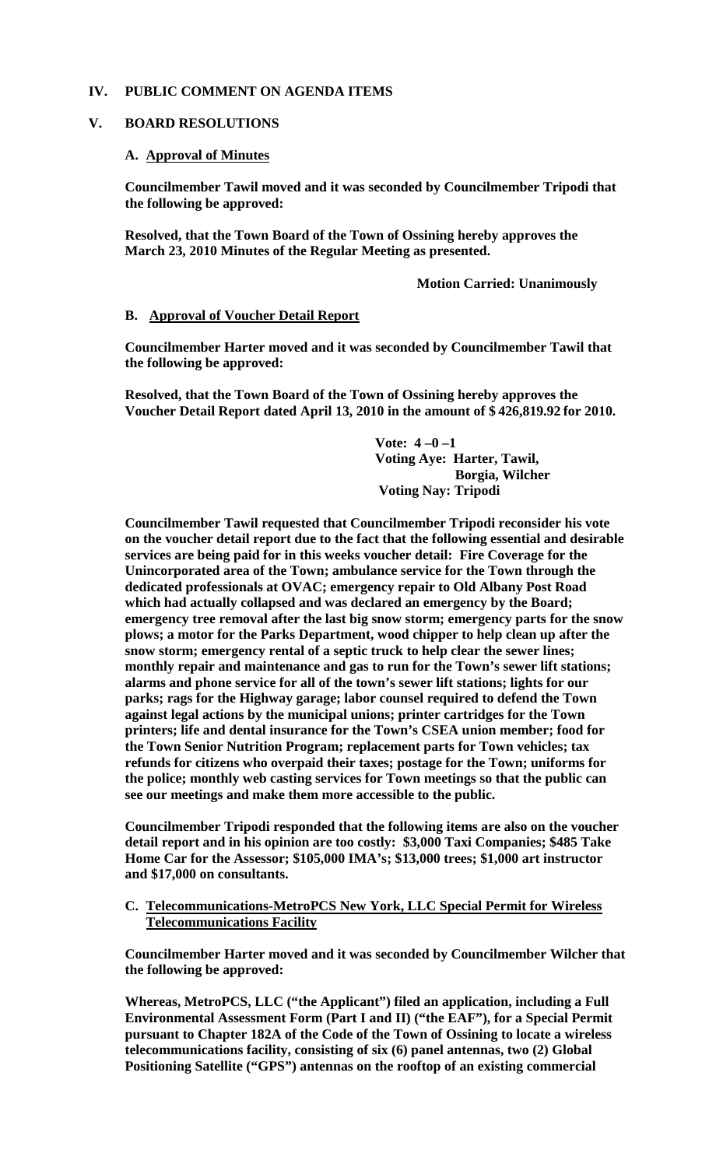#### **IV. PUBLIC COMMENT ON AGENDA ITEMS**

#### **V. BOARD RESOLUTIONS**

#### **A. Approval of Minutes**

**Councilmember Tawil moved and it was seconded by Councilmember Tripodi that the following be approved:**

**Resolved, that the Town Board of the Town of Ossining hereby approves the March 23, 2010 Minutes of the Regular Meeting as presented.**

**Motion Carried: Unanimously**

#### **B. Approval of Voucher Detail Report**

**Councilmember Harter moved and it was seconded by Councilmember Tawil that the following be approved:**

**Resolved, that the Town Board of the Town of Ossining hereby approves the Voucher Detail Report dated April 13, 2010 in the amount of \$ 426,819.92 for 2010.**

> **Vote: 4 –0 –1 Voting Aye: Harter, Tawil, Borgia, Wilcher Voting Nay: Tripodi**

**Councilmember Tawil requested that Councilmember Tripodi reconsider his vote on the voucher detail report due to the fact that the following essential and desirable services are being paid for in this weeks voucher detail: Fire Coverage for the Unincorporated area of the Town; ambulance service for the Town through the dedicated professionals at OVAC; emergency repair to Old Albany Post Road which had actually collapsed and was declared an emergency by the Board; emergency tree removal after the last big snow storm; emergency parts for the snow plows; a motor for the Parks Department, wood chipper to help clean up after the snow storm; emergency rental of a septic truck to help clear the sewer lines; monthly repair and maintenance and gas to run for the Town's sewer lift stations; alarms and phone service for all of the town's sewer lift stations; lights for our parks; rags for the Highway garage; labor counsel required to defend the Town against legal actions by the municipal unions; printer cartridges for the Town printers; life and dental insurance for the Town's CSEA union member; food for the Town Senior Nutrition Program; replacement parts for Town vehicles; tax refunds for citizens who overpaid their taxes; postage for the Town; uniforms for the police; monthly web casting services for Town meetings so that the public can see our meetings and make them more accessible to the public.**

**Councilmember Tripodi responded that the following items are also on the voucher detail report and in his opinion are too costly: \$3,000 Taxi Companies; \$485 Take Home Car for the Assessor; \$105,000 IMA's; \$13,000 trees; \$1,000 art instructor and \$17,000 on consultants.** 

#### **C. Telecommunications-MetroPCS New York, LLC Special Permit for Wireless Telecommunications Facility**

**Councilmember Harter moved and it was seconded by Councilmember Wilcher that the following be approved:**

**Whereas, MetroPCS, LLC ("the Applicant") filed an application, including a Full Environmental Assessment Form (Part I and II) ("the EAF"), for a Special Permit pursuant to Chapter 182A of the Code of the Town of Ossining to locate a wireless telecommunications facility, consisting of six (6) panel antennas, two (2) Global Positioning Satellite ("GPS") antennas on the rooftop of an existing commercial**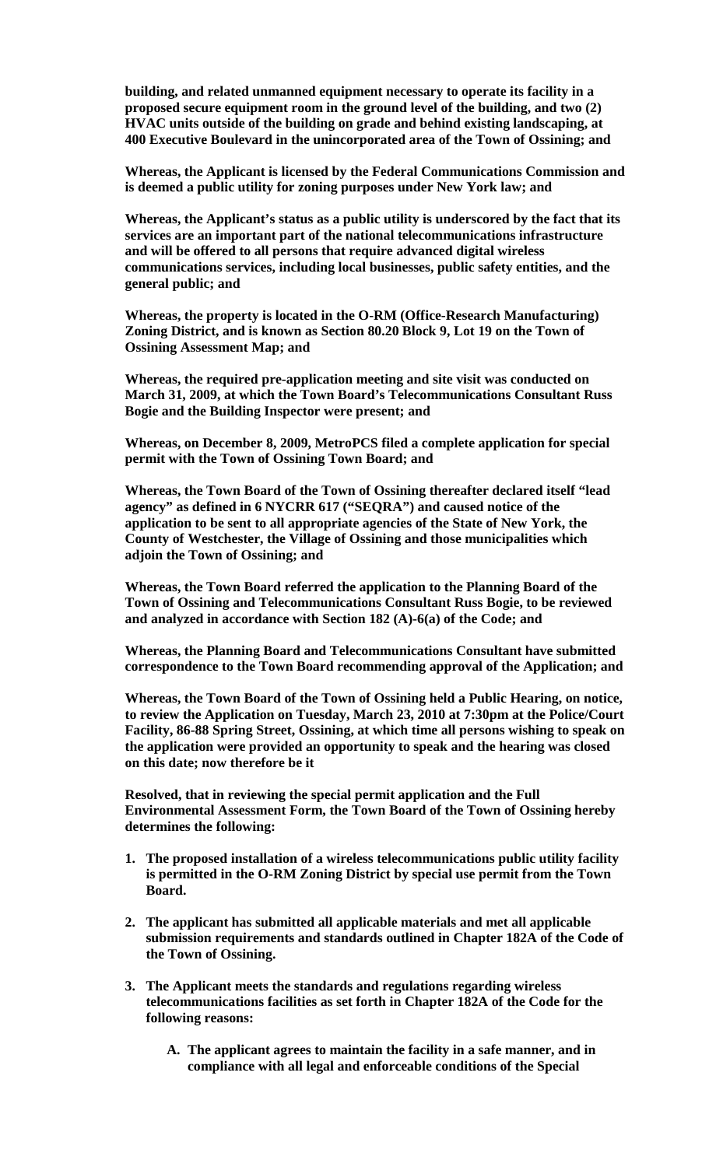**building, and related unmanned equipment necessary to operate its facility in a proposed secure equipment room in the ground level of the building, and two (2) HVAC units outside of the building on grade and behind existing landscaping, at 400 Executive Boulevard in the unincorporated area of the Town of Ossining; and**

**Whereas, the Applicant is licensed by the Federal Communications Commission and is deemed a public utility for zoning purposes under New York law; and**

**Whereas, the Applicant's status as a public utility is underscored by the fact that its services are an important part of the national telecommunications infrastructure and will be offered to all persons that require advanced digital wireless communications services, including local businesses, public safety entities, and the general public; and**

**Whereas, the property is located in the O-RM (Office-Research Manufacturing) Zoning District, and is known as Section 80.20 Block 9, Lot 19 on the Town of Ossining Assessment Map; and**

**Whereas, the required pre-application meeting and site visit was conducted on March 31, 2009, at which the Town Board's Telecommunications Consultant Russ Bogie and the Building Inspector were present; and**

**Whereas, on December 8, 2009, MetroPCS filed a complete application for special permit with the Town of Ossining Town Board; and**

**Whereas, the Town Board of the Town of Ossining thereafter declared itself "lead agency" as defined in 6 NYCRR 617 ("SEQRA") and caused notice of the application to be sent to all appropriate agencies of the State of New York, the County of Westchester, the Village of Ossining and those municipalities which adjoin the Town of Ossining; and**

**Whereas, the Town Board referred the application to the Planning Board of the Town of Ossining and Telecommunications Consultant Russ Bogie, to be reviewed and analyzed in accordance with Section 182 (A)-6(a) of the Code; and**

**Whereas, the Planning Board and Telecommunications Consultant have submitted correspondence to the Town Board recommending approval of the Application; and**

**Whereas, the Town Board of the Town of Ossining held a Public Hearing, on notice, to review the Application on Tuesday, March 23, 2010 at 7:30pm at the Police/Court Facility, 86-88 Spring Street, Ossining, at which time all persons wishing to speak on the application were provided an opportunity to speak and the hearing was closed on this date; now therefore be it**

**Resolved, that in reviewing the special permit application and the Full Environmental Assessment Form, the Town Board of the Town of Ossining hereby determines the following:**

- **1. The proposed installation of a wireless telecommunications public utility facility is permitted in the O-RM Zoning District by special use permit from the Town Board.**
- **2. The applicant has submitted all applicable materials and met all applicable submission requirements and standards outlined in Chapter 182A of the Code of the Town of Ossining.**
- **3. The Applicant meets the standards and regulations regarding wireless telecommunications facilities as set forth in Chapter 182A of the Code for the following reasons:**
	- **A. The applicant agrees to maintain the facility in a safe manner, and in compliance with all legal and enforceable conditions of the Special**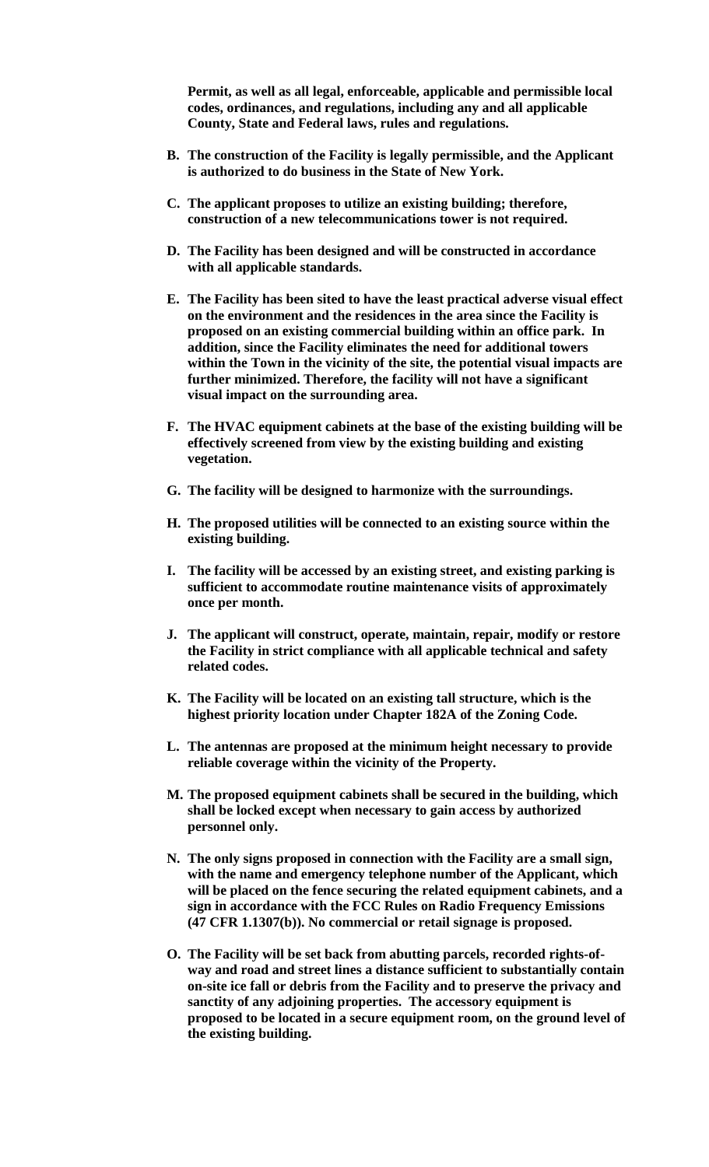**Permit, as well as all legal, enforceable, applicable and permissible local codes, ordinances, and regulations, including any and all applicable County, State and Federal laws, rules and regulations.**

- **B. The construction of the Facility is legally permissible, and the Applicant is authorized to do business in the State of New York.**
- **C. The applicant proposes to utilize an existing building; therefore, construction of a new telecommunications tower is not required.**
- **D. The Facility has been designed and will be constructed in accordance with all applicable standards.**
- **E. The Facility has been sited to have the least practical adverse visual effect on the environment and the residences in the area since the Facility is proposed on an existing commercial building within an office park. In addition, since the Facility eliminates the need for additional towers within the Town in the vicinity of the site, the potential visual impacts are further minimized. Therefore, the facility will not have a significant visual impact on the surrounding area.**
- **F. The HVAC equipment cabinets at the base of the existing building will be effectively screened from view by the existing building and existing vegetation.**
- **G. The facility will be designed to harmonize with the surroundings.**
- **H. The proposed utilities will be connected to an existing source within the existing building.**
- **I. The facility will be accessed by an existing street, and existing parking is sufficient to accommodate routine maintenance visits of approximately once per month.**
- **J. The applicant will construct, operate, maintain, repair, modify or restore the Facility in strict compliance with all applicable technical and safety related codes.**
- **K. The Facility will be located on an existing tall structure, which is the highest priority location under Chapter 182A of the Zoning Code.**
- **L. The antennas are proposed at the minimum height necessary to provide reliable coverage within the vicinity of the Property.**
- **M. The proposed equipment cabinets shall be secured in the building, which shall be locked except when necessary to gain access by authorized personnel only.**
- **N. The only signs proposed in connection with the Facility are a small sign, with the name and emergency telephone number of the Applicant, which will be placed on the fence securing the related equipment cabinets, and a sign in accordance with the FCC Rules on Radio Frequency Emissions (47 CFR 1.1307(b)). No commercial or retail signage is proposed.**
- **O. The Facility will be set back from abutting parcels, recorded rights-ofway and road and street lines a distance sufficient to substantially contain on-site ice fall or debris from the Facility and to preserve the privacy and sanctity of any adjoining properties. The accessory equipment is proposed to be located in a secure equipment room, on the ground level of the existing building.**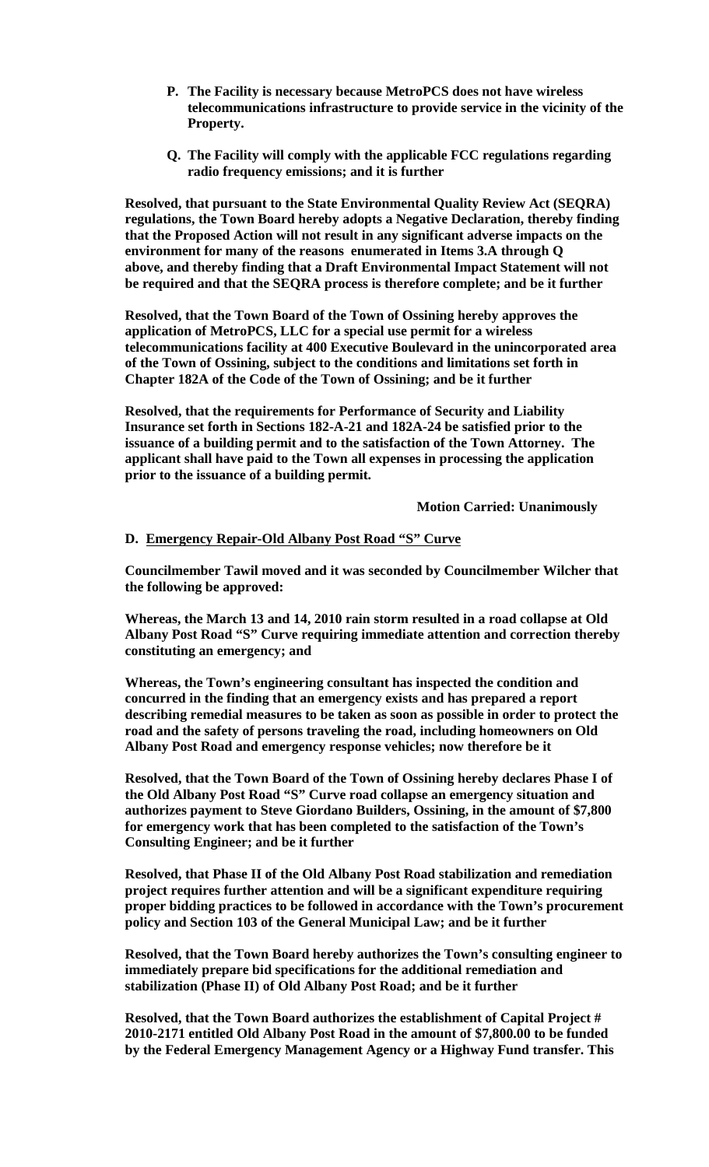- **P. The Facility is necessary because MetroPCS does not have wireless telecommunications infrastructure to provide service in the vicinity of the Property.**
- **Q. The Facility will comply with the applicable FCC regulations regarding radio frequency emissions; and it is further**

**Resolved, that pursuant to the State Environmental Quality Review Act (SEQRA) regulations, the Town Board hereby adopts a Negative Declaration, thereby finding that the Proposed Action will not result in any significant adverse impacts on the environment for many of the reasons enumerated in Items 3.A through Q above, and thereby finding that a Draft Environmental Impact Statement will not be required and that the SEQRA process is therefore complete; and be it further**

**Resolved, that the Town Board of the Town of Ossining hereby approves the application of MetroPCS, LLC for a special use permit for a wireless telecommunications facility at 400 Executive Boulevard in the unincorporated area of the Town of Ossining, subject to the conditions and limitations set forth in Chapter 182A of the Code of the Town of Ossining; and be it further**

**Resolved, that the requirements for Performance of Security and Liability Insurance set forth in Sections 182-A-21 and 182A-24 be satisfied prior to the issuance of a building permit and to the satisfaction of the Town Attorney. The applicant shall have paid to the Town all expenses in processing the application prior to the issuance of a building permit.**

**Motion Carried: Unanimously**

#### **D. Emergency Repair-Old Albany Post Road "S" Curve**

**Councilmember Tawil moved and it was seconded by Councilmember Wilcher that the following be approved:**

**Whereas, the March 13 and 14, 2010 rain storm resulted in a road collapse at Old Albany Post Road "S" Curve requiring immediate attention and correction thereby constituting an emergency; and**

**Whereas, the Town's engineering consultant has inspected the condition and concurred in the finding that an emergency exists and has prepared a report describing remedial measures to be taken as soon as possible in order to protect the road and the safety of persons traveling the road, including homeowners on Old Albany Post Road and emergency response vehicles; now therefore be it**

**Resolved, that the Town Board of the Town of Ossining hereby declares Phase I of the Old Albany Post Road "S" Curve road collapse an emergency situation and authorizes payment to Steve Giordano Builders, Ossining, in the amount of \$7,800 for emergency work that has been completed to the satisfaction of the Town's Consulting Engineer; and be it further**

**Resolved, that Phase II of the Old Albany Post Road stabilization and remediation project requires further attention and will be a significant expenditure requiring proper bidding practices to be followed in accordance with the Town's procurement policy and Section 103 of the General Municipal Law; and be it further**

**Resolved, that the Town Board hereby authorizes the Town's consulting engineer to immediately prepare bid specifications for the additional remediation and stabilization (Phase II) of Old Albany Post Road; and be it further**

**Resolved, that the Town Board authorizes the establishment of Capital Project # 2010-2171 entitled Old Albany Post Road in the amount of \$7,800.00 to be funded by the Federal Emergency Management Agency or a Highway Fund transfer. This**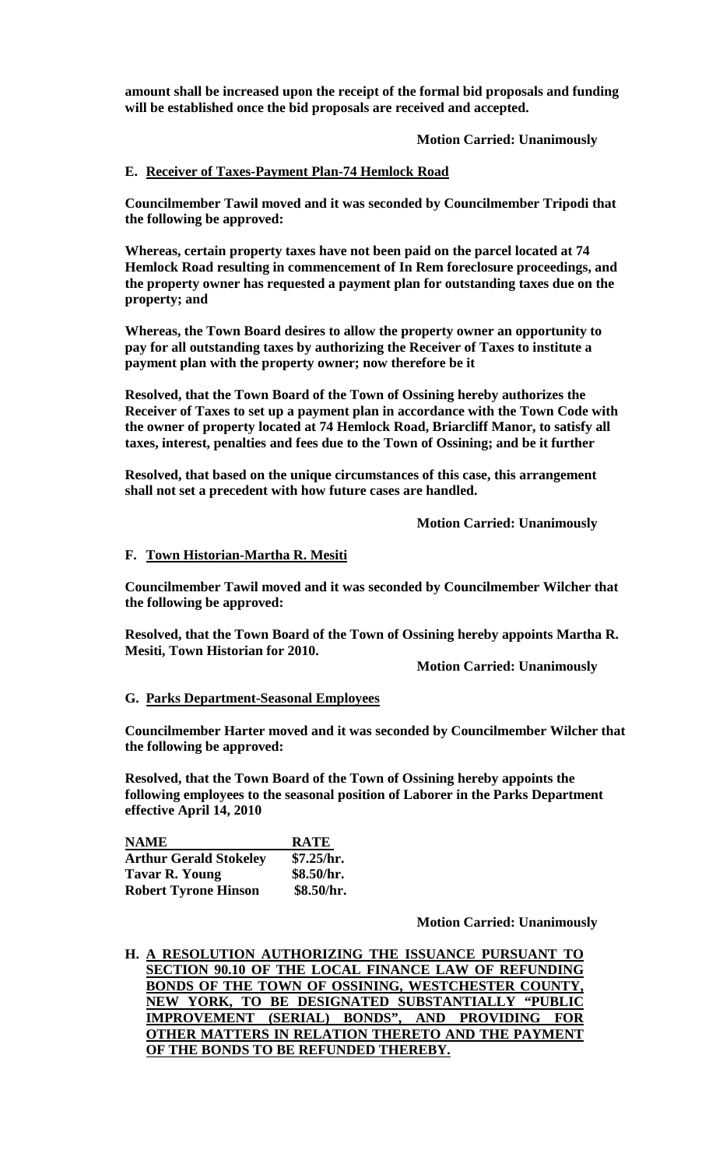**amount shall be increased upon the receipt of the formal bid proposals and funding will be established once the bid proposals are received and accepted.** 

# **Motion Carried: Unanimously**

# **E. Receiver of Taxes-Payment Plan-74 Hemlock Road**

**Councilmember Tawil moved and it was seconded by Councilmember Tripodi that the following be approved:**

**Whereas, certain property taxes have not been paid on the parcel located at 74 Hemlock Road resulting in commencement of In Rem foreclosure proceedings, and the property owner has requested a payment plan for outstanding taxes due on the property; and**

**Whereas, the Town Board desires to allow the property owner an opportunity to pay for all outstanding taxes by authorizing the Receiver of Taxes to institute a payment plan with the property owner; now therefore be it** 

**Resolved, that the Town Board of the Town of Ossining hereby authorizes the Receiver of Taxes to set up a payment plan in accordance with the Town Code with the owner of property located at 74 Hemlock Road, Briarcliff Manor, to satisfy all taxes, interest, penalties and fees due to the Town of Ossining; and be it further**

**Resolved, that based on the unique circumstances of this case, this arrangement shall not set a precedent with how future cases are handled.**

**Motion Carried: Unanimously**

# **F. Town Historian-Martha R. Mesiti**

**Councilmember Tawil moved and it was seconded by Councilmember Wilcher that the following be approved:**

**Resolved, that the Town Board of the Town of Ossining hereby appoints Martha R. Mesiti, Town Historian for 2010.**

**Motion Carried: Unanimously**

# **G. Parks Department-Seasonal Employees**

**Councilmember Harter moved and it was seconded by Councilmember Wilcher that the following be approved:**

**Resolved, that the Town Board of the Town of Ossining hereby appoints the following employees to the seasonal position of Laborer in the Parks Department effective April 14, 2010**

| <b>NAME</b>                   | <b>RATE</b> |
|-------------------------------|-------------|
| <b>Arthur Gerald Stokeley</b> | \$7.25/hr.  |
| Tavar R. Young                | \$8.50/hr.  |
| <b>Robert Tyrone Hinson</b>   | \$8.50/hr.  |

# **Motion Carried: Unanimously**

**H. A RESOLUTION AUTHORIZING THE ISSUANCE PURSUANT TO SECTION 90.10 OF THE LOCAL FINANCE LAW OF REFUNDING BONDS OF THE TOWN OF OSSINING, WESTCHESTER COUNTY, NEW YORK, TO BE DESIGNATED SUBSTANTIALLY "PUBLIC IMPROVEMENT (SERIAL) BONDS", AND PROVIDING FOR OTHER MATTERS IN RELATION THERETO AND THE PAYMENT OF THE BONDS TO BE REFUNDED THEREBY.**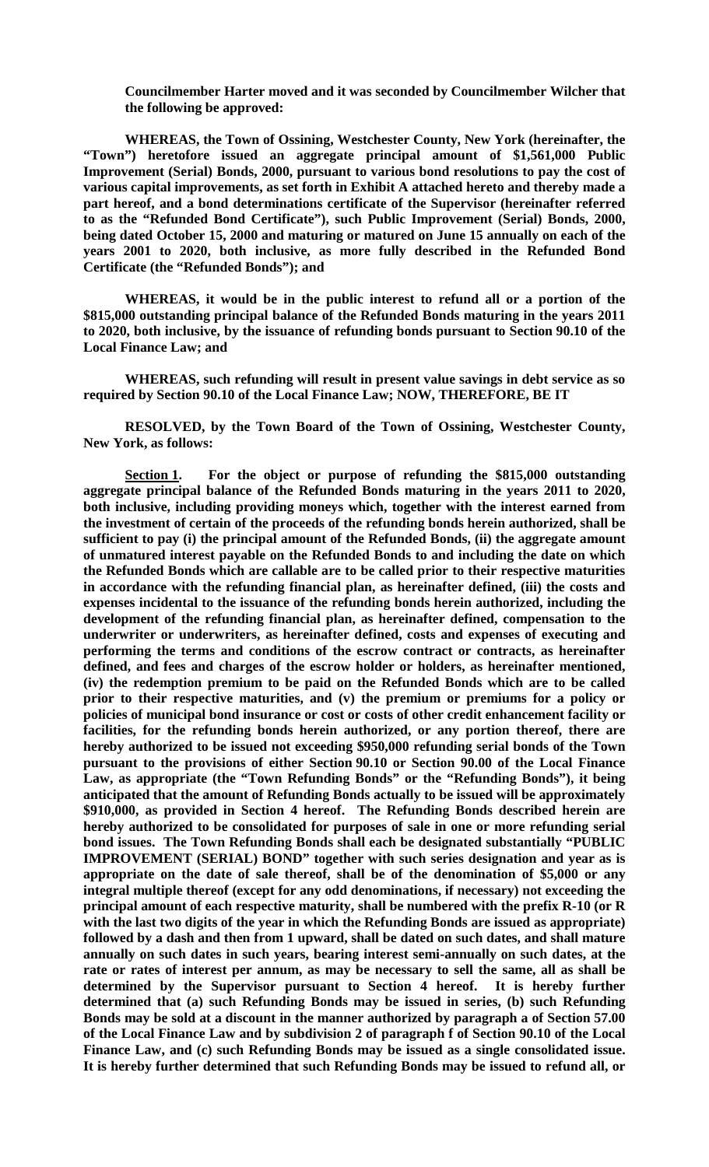**Councilmember Harter moved and it was seconded by Councilmember Wilcher that the following be approved:**

**WHEREAS, the Town of Ossining, Westchester County, New York (hereinafter, the "Town") heretofore issued an aggregate principal amount of \$1,561,000 Public Improvement (Serial) Bonds, 2000, pursuant to various bond resolutions to pay the cost of various capital improvements, as set forth in Exhibit A attached hereto and thereby made a part hereof, and a bond determinations certificate of the Supervisor (hereinafter referred to as the "Refunded Bond Certificate"), such Public Improvement (Serial) Bonds, 2000, being dated October 15, 2000 and maturing or matured on June 15 annually on each of the years 2001 to 2020, both inclusive, as more fully described in the Refunded Bond Certificate (the "Refunded Bonds"); and**

**WHEREAS, it would be in the public interest to refund all or a portion of the \$815,000 outstanding principal balance of the Refunded Bonds maturing in the years 2011 to 2020, both inclusive, by the issuance of refunding bonds pursuant to Section 90.10 of the Local Finance Law; and**

**WHEREAS, such refunding will result in present value savings in debt service as so required by Section 90.10 of the Local Finance Law; NOW, THEREFORE, BE IT**

**RESOLVED, by the Town Board of the Town of Ossining, Westchester County, New York, as follows:**

**Section 1. For the object or purpose of refunding the \$815,000 outstanding aggregate principal balance of the Refunded Bonds maturing in the years 2011 to 2020, both inclusive, including providing moneys which, together with the interest earned from the investment of certain of the proceeds of the refunding bonds herein authorized, shall be sufficient to pay (i) the principal amount of the Refunded Bonds, (ii) the aggregate amount of unmatured interest payable on the Refunded Bonds to and including the date on which the Refunded Bonds which are callable are to be called prior to their respective maturities in accordance with the refunding financial plan, as hereinafter defined, (iii) the costs and expenses incidental to the issuance of the refunding bonds herein authorized, including the development of the refunding financial plan, as hereinafter defined, compensation to the underwriter or underwriters, as hereinafter defined, costs and expenses of executing and performing the terms and conditions of the escrow contract or contracts, as hereinafter defined, and fees and charges of the escrow holder or holders, as hereinafter mentioned, (iv) the redemption premium to be paid on the Refunded Bonds which are to be called prior to their respective maturities, and (v) the premium or premiums for a policy or policies of municipal bond insurance or cost or costs of other credit enhancement facility or facilities, for the refunding bonds herein authorized, or any portion thereof, there are hereby authorized to be issued not exceeding \$950,000 refunding serial bonds of the Town pursuant to the provisions of either Section 90.10 or Section 90.00 of the Local Finance Law, as appropriate (the "Town Refunding Bonds" or the "Refunding Bonds"), it being anticipated that the amount of Refunding Bonds actually to be issued will be approximately \$910,000, as provided in Section 4 hereof. The Refunding Bonds described herein are hereby authorized to be consolidated for purposes of sale in one or more refunding serial bond issues. The Town Refunding Bonds shall each be designated substantially "PUBLIC IMPROVEMENT (SERIAL) BOND" together with such series designation and year as is appropriate on the date of sale thereof, shall be of the denomination of \$5,000 or any integral multiple thereof (except for any odd denominations, if necessary) not exceeding the principal amount of each respective maturity, shall be numbered with the prefix R-10 (or R with the last two digits of the year in which the Refunding Bonds are issued as appropriate) followed by a dash and then from 1 upward, shall be dated on such dates, and shall mature annually on such dates in such years, bearing interest semi-annually on such dates, at the rate or rates of interest per annum, as may be necessary to sell the same, all as shall be determined by the Supervisor pursuant to Section 4 hereof. It is hereby further determined that (a) such Refunding Bonds may be issued in series, (b) such Refunding Bonds may be sold at a discount in the manner authorized by paragraph a of Section 57.00 of the Local Finance Law and by subdivision 2 of paragraph f of Section 90.10 of the Local Finance Law, and (c) such Refunding Bonds may be issued as a single consolidated issue. It is hereby further determined that such Refunding Bonds may be issued to refund all, or**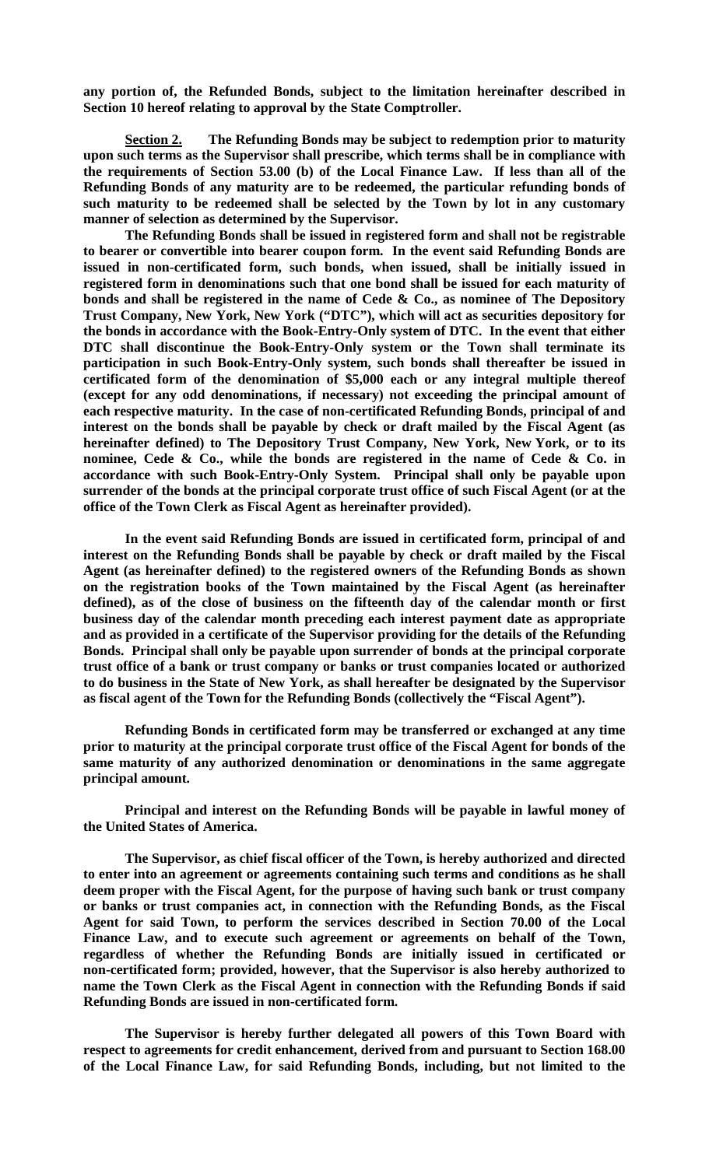**any portion of, the Refunded Bonds, subject to the limitation hereinafter described in Section 10 hereof relating to approval by the State Comptroller.**

**Section 2. The Refunding Bonds may be subject to redemption prior to maturity upon such terms as the Supervisor shall prescribe, which terms shall be in compliance with the requirements of Section 53.00 (b) of the Local Finance Law. If less than all of the Refunding Bonds of any maturity are to be redeemed, the particular refunding bonds of such maturity to be redeemed shall be selected by the Town by lot in any customary manner of selection as determined by the Supervisor.**

**The Refunding Bonds shall be issued in registered form and shall not be registrable to bearer or convertible into bearer coupon form. In the event said Refunding Bonds are issued in non-certificated form, such bonds, when issued, shall be initially issued in registered form in denominations such that one bond shall be issued for each maturity of bonds and shall be registered in the name of Cede & Co., as nominee of The Depository Trust Company, New York, New York ("DTC"), which will act as securities depository for the bonds in accordance with the Book-Entry-Only system of DTC. In the event that either DTC shall discontinue the Book-Entry-Only system or the Town shall terminate its participation in such Book-Entry-Only system, such bonds shall thereafter be issued in certificated form of the denomination of \$5,000 each or any integral multiple thereof (except for any odd denominations, if necessary) not exceeding the principal amount of each respective maturity. In the case of non-certificated Refunding Bonds, principal of and interest on the bonds shall be payable by check or draft mailed by the Fiscal Agent (as hereinafter defined) to The Depository Trust Company, New York, New York, or to its nominee, Cede & Co., while the bonds are registered in the name of Cede & Co. in accordance with such Book-Entry-Only System. Principal shall only be payable upon surrender of the bonds at the principal corporate trust office of such Fiscal Agent (or at the office of the Town Clerk as Fiscal Agent as hereinafter provided).**

**In the event said Refunding Bonds are issued in certificated form, principal of and interest on the Refunding Bonds shall be payable by check or draft mailed by the Fiscal Agent (as hereinafter defined) to the registered owners of the Refunding Bonds as shown on the registration books of the Town maintained by the Fiscal Agent (as hereinafter defined), as of the close of business on the fifteenth day of the calendar month or first business day of the calendar month preceding each interest payment date as appropriate and as provided in a certificate of the Supervisor providing for the details of the Refunding Bonds. Principal shall only be payable upon surrender of bonds at the principal corporate trust office of a bank or trust company or banks or trust companies located or authorized to do business in the State of New York, as shall hereafter be designated by the Supervisor as fiscal agent of the Town for the Refunding Bonds (collectively the "Fiscal Agent").**

**Refunding Bonds in certificated form may be transferred or exchanged at any time prior to maturity at the principal corporate trust office of the Fiscal Agent for bonds of the same maturity of any authorized denomination or denominations in the same aggregate principal amount.**

**Principal and interest on the Refunding Bonds will be payable in lawful money of the United States of America.**

**The Supervisor, as chief fiscal officer of the Town, is hereby authorized and directed to enter into an agreement or agreements containing such terms and conditions as he shall deem proper with the Fiscal Agent, for the purpose of having such bank or trust company or banks or trust companies act, in connection with the Refunding Bonds, as the Fiscal Agent for said Town, to perform the services described in Section 70.00 of the Local Finance Law, and to execute such agreement or agreements on behalf of the Town, regardless of whether the Refunding Bonds are initially issued in certificated or non-certificated form; provided, however, that the Supervisor is also hereby authorized to name the Town Clerk as the Fiscal Agent in connection with the Refunding Bonds if said Refunding Bonds are issued in non-certificated form.**

**The Supervisor is hereby further delegated all powers of this Town Board with respect to agreements for credit enhancement, derived from and pursuant to Section 168.00 of the Local Finance Law, for said Refunding Bonds, including, but not limited to the**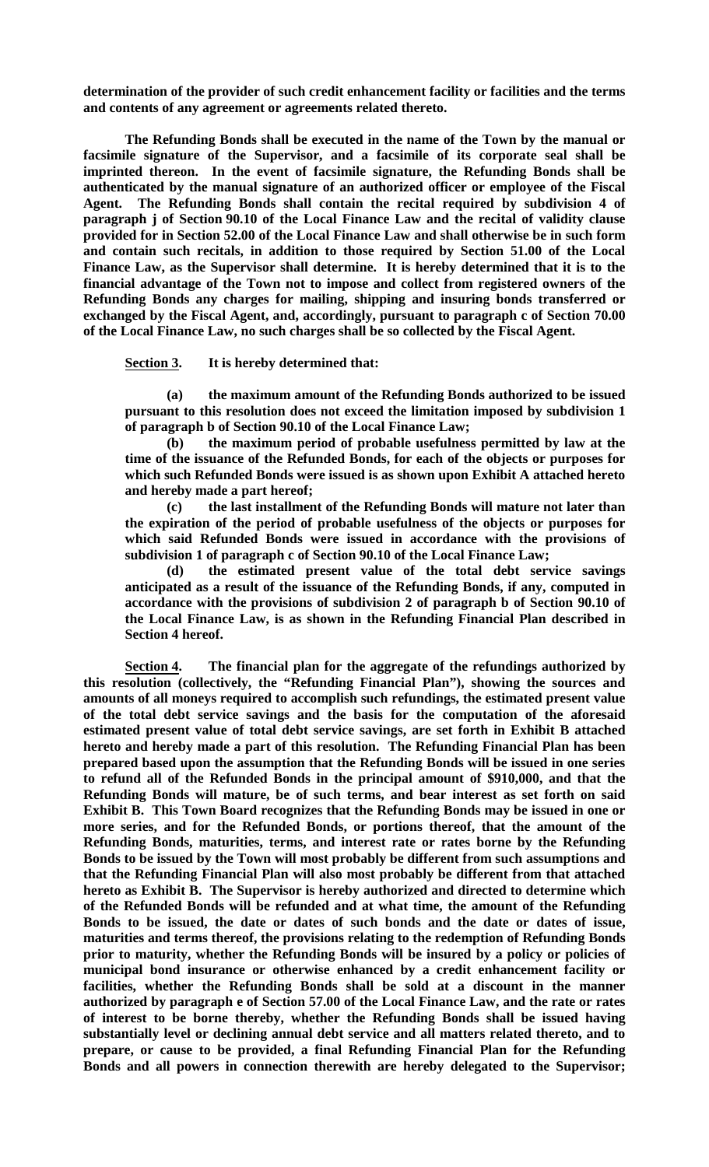**determination of the provider of such credit enhancement facility or facilities and the terms and contents of any agreement or agreements related thereto.**

**The Refunding Bonds shall be executed in the name of the Town by the manual or facsimile signature of the Supervisor, and a facsimile of its corporate seal shall be imprinted thereon. In the event of facsimile signature, the Refunding Bonds shall be authenticated by the manual signature of an authorized officer or employee of the Fiscal Agent. The Refunding Bonds shall contain the recital required by subdivision 4 of paragraph j of Section 90.10 of the Local Finance Law and the recital of validity clause provided for in Section 52.00 of the Local Finance Law and shall otherwise be in such form and contain such recitals, in addition to those required by Section 51.00 of the Local Finance Law, as the Supervisor shall determine. It is hereby determined that it is to the financial advantage of the Town not to impose and collect from registered owners of the Refunding Bonds any charges for mailing, shipping and insuring bonds transferred or exchanged by the Fiscal Agent, and, accordingly, pursuant to paragraph c of Section 70.00 of the Local Finance Law, no such charges shall be so collected by the Fiscal Agent.**

**Section 3. It is hereby determined that:**

**(a) the maximum amount of the Refunding Bonds authorized to be issued pursuant to this resolution does not exceed the limitation imposed by subdivision 1 of paragraph b of Section 90.10 of the Local Finance Law;**

**(b) the maximum period of probable usefulness permitted by law at the time of the issuance of the Refunded Bonds, for each of the objects or purposes for which such Refunded Bonds were issued is as shown upon Exhibit A attached hereto and hereby made a part hereof;**

**(c) the last installment of the Refunding Bonds will mature not later than the expiration of the period of probable usefulness of the objects or purposes for which said Refunded Bonds were issued in accordance with the provisions of subdivision 1 of paragraph c of Section 90.10 of the Local Finance Law;**

**(d) the estimated present value of the total debt service savings anticipated as a result of the issuance of the Refunding Bonds, if any, computed in accordance with the provisions of subdivision 2 of paragraph b of Section 90.10 of the Local Finance Law, is as shown in the Refunding Financial Plan described in Section 4 hereof.**

**Section 4. The financial plan for the aggregate of the refundings authorized by this resolution (collectively, the "Refunding Financial Plan"), showing the sources and amounts of all moneys required to accomplish such refundings, the estimated present value of the total debt service savings and the basis for the computation of the aforesaid estimated present value of total debt service savings, are set forth in Exhibit B attached hereto and hereby made a part of this resolution. The Refunding Financial Plan has been prepared based upon the assumption that the Refunding Bonds will be issued in one series to refund all of the Refunded Bonds in the principal amount of \$910,000, and that the Refunding Bonds will mature, be of such terms, and bear interest as set forth on said Exhibit B. This Town Board recognizes that the Refunding Bonds may be issued in one or more series, and for the Refunded Bonds, or portions thereof, that the amount of the Refunding Bonds, maturities, terms, and interest rate or rates borne by the Refunding Bonds to be issued by the Town will most probably be different from such assumptions and that the Refunding Financial Plan will also most probably be different from that attached hereto as Exhibit B. The Supervisor is hereby authorized and directed to determine which of the Refunded Bonds will be refunded and at what time, the amount of the Refunding Bonds to be issued, the date or dates of such bonds and the date or dates of issue, maturities and terms thereof, the provisions relating to the redemption of Refunding Bonds prior to maturity, whether the Refunding Bonds will be insured by a policy or policies of municipal bond insurance or otherwise enhanced by a credit enhancement facility or facilities, whether the Refunding Bonds shall be sold at a discount in the manner authorized by paragraph e of Section 57.00 of the Local Finance Law, and the rate or rates of interest to be borne thereby, whether the Refunding Bonds shall be issued having substantially level or declining annual debt service and all matters related thereto, and to prepare, or cause to be provided, a final Refunding Financial Plan for the Refunding Bonds and all powers in connection therewith are hereby delegated to the Supervisor;**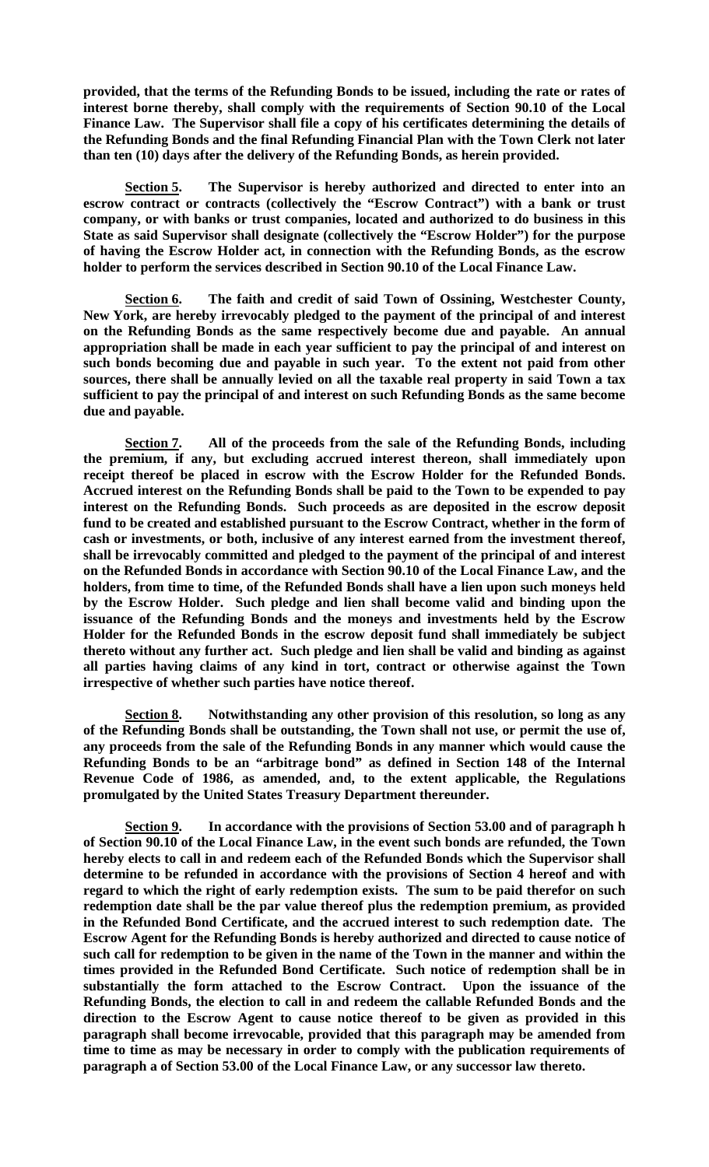**provided, that the terms of the Refunding Bonds to be issued, including the rate or rates of interest borne thereby, shall comply with the requirements of Section 90.10 of the Local Finance Law. The Supervisor shall file a copy of his certificates determining the details of the Refunding Bonds and the final Refunding Financial Plan with the Town Clerk not later than ten (10) days after the delivery of the Refunding Bonds, as herein provided.**

**Section 5. The Supervisor is hereby authorized and directed to enter into an escrow contract or contracts (collectively the "Escrow Contract") with a bank or trust company, or with banks or trust companies, located and authorized to do business in this State as said Supervisor shall designate (collectively the "Escrow Holder") for the purpose of having the Escrow Holder act, in connection with the Refunding Bonds, as the escrow holder to perform the services described in Section 90.10 of the Local Finance Law.**

**Section 6. The faith and credit of said Town of Ossining, Westchester County, New York, are hereby irrevocably pledged to the payment of the principal of and interest on the Refunding Bonds as the same respectively become due and payable. An annual appropriation shall be made in each year sufficient to pay the principal of and interest on such bonds becoming due and payable in such year. To the extent not paid from other sources, there shall be annually levied on all the taxable real property in said Town a tax sufficient to pay the principal of and interest on such Refunding Bonds as the same become due and payable.**

**Section 7. All of the proceeds from the sale of the Refunding Bonds, including the premium, if any, but excluding accrued interest thereon, shall immediately upon receipt thereof be placed in escrow with the Escrow Holder for the Refunded Bonds. Accrued interest on the Refunding Bonds shall be paid to the Town to be expended to pay interest on the Refunding Bonds. Such proceeds as are deposited in the escrow deposit fund to be created and established pursuant to the Escrow Contract, whether in the form of cash or investments, or both, inclusive of any interest earned from the investment thereof, shall be irrevocably committed and pledged to the payment of the principal of and interest on the Refunded Bonds in accordance with Section 90.10 of the Local Finance Law, and the holders, from time to time, of the Refunded Bonds shall have a lien upon such moneys held by the Escrow Holder. Such pledge and lien shall become valid and binding upon the issuance of the Refunding Bonds and the moneys and investments held by the Escrow Holder for the Refunded Bonds in the escrow deposit fund shall immediately be subject thereto without any further act. Such pledge and lien shall be valid and binding as against all parties having claims of any kind in tort, contract or otherwise against the Town irrespective of whether such parties have notice thereof.**

**Section 8. Notwithstanding any other provision of this resolution, so long as any of the Refunding Bonds shall be outstanding, the Town shall not use, or permit the use of, any proceeds from the sale of the Refunding Bonds in any manner which would cause the Refunding Bonds to be an "arbitrage bond" as defined in Section 148 of the Internal Revenue Code of 1986, as amended, and, to the extent applicable, the Regulations promulgated by the United States Treasury Department thereunder.**

**Section 9. In accordance with the provisions of Section 53.00 and of paragraph h of Section 90.10 of the Local Finance Law, in the event such bonds are refunded, the Town hereby elects to call in and redeem each of the Refunded Bonds which the Supervisor shall determine to be refunded in accordance with the provisions of Section 4 hereof and with regard to which the right of early redemption exists. The sum to be paid therefor on such redemption date shall be the par value thereof plus the redemption premium, as provided in the Refunded Bond Certificate, and the accrued interest to such redemption date. The Escrow Agent for the Refunding Bonds is hereby authorized and directed to cause notice of such call for redemption to be given in the name of the Town in the manner and within the times provided in the Refunded Bond Certificate. Such notice of redemption shall be in substantially the form attached to the Escrow Contract. Upon the issuance of the Refunding Bonds, the election to call in and redeem the callable Refunded Bonds and the direction to the Escrow Agent to cause notice thereof to be given as provided in this paragraph shall become irrevocable, provided that this paragraph may be amended from time to time as may be necessary in order to comply with the publication requirements of paragraph a of Section 53.00 of the Local Finance Law, or any successor law thereto.**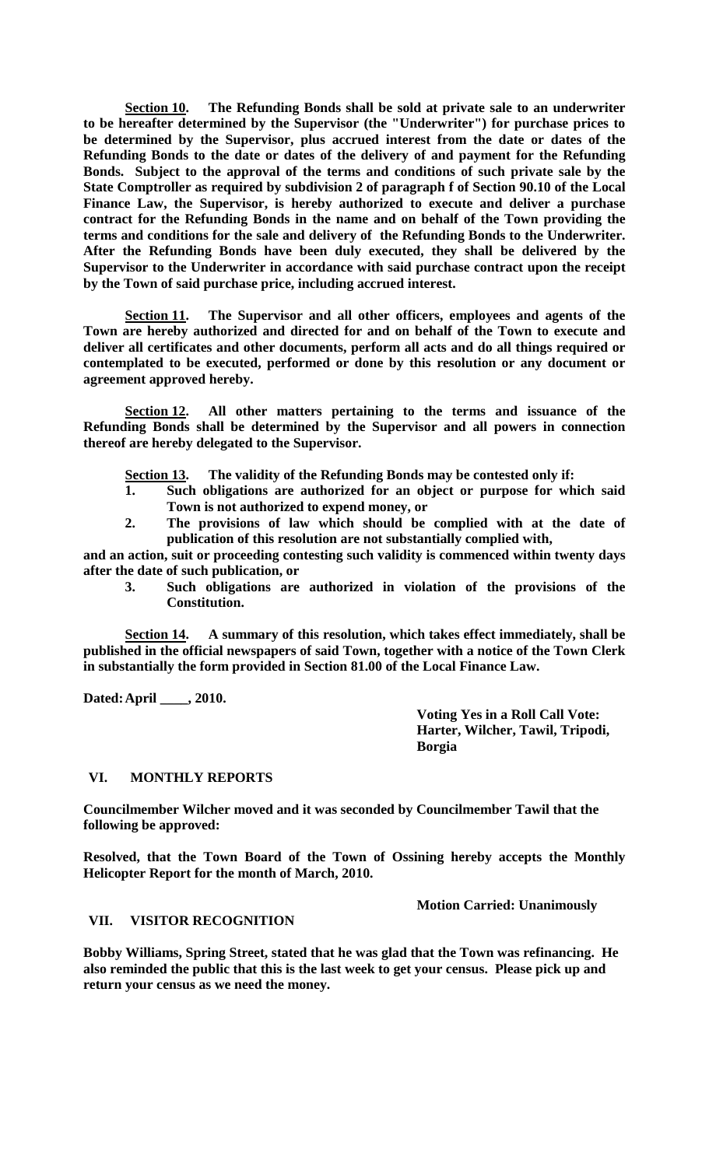**Section 10. The Refunding Bonds shall be sold at private sale to an underwriter to be hereafter determined by the Supervisor (the "Underwriter") for purchase prices to be determined by the Supervisor, plus accrued interest from the date or dates of the Refunding Bonds to the date or dates of the delivery of and payment for the Refunding Bonds. Subject to the approval of the terms and conditions of such private sale by the State Comptroller as required by subdivision 2 of paragraph f of Section 90.10 of the Local Finance Law, the Supervisor, is hereby authorized to execute and deliver a purchase contract for the Refunding Bonds in the name and on behalf of the Town providing the terms and conditions for the sale and delivery of the Refunding Bonds to the Underwriter. After the Refunding Bonds have been duly executed, they shall be delivered by the Supervisor to the Underwriter in accordance with said purchase contract upon the receipt by the Town of said purchase price, including accrued interest.**

**Section 11. The Supervisor and all other officers, employees and agents of the Town are hereby authorized and directed for and on behalf of the Town to execute and deliver all certificates and other documents, perform all acts and do all things required or contemplated to be executed, performed or done by this resolution or any document or agreement approved hereby.**

**Section 12. All other matters pertaining to the terms and issuance of the Refunding Bonds shall be determined by the Supervisor and all powers in connection thereof are hereby delegated to the Supervisor.**

**Section 13.**<br>1. **Such . The validity of the Refunding Bonds may be contested only if:**

- **1. Such obligations are authorized for an object or purpose for which said Town is not authorized to expend money, or**
- **2. The provisions of law which should be complied with at the date of publication of this resolution are not substantially complied with,**

**and an action, suit or proceeding contesting such validity is commenced within twenty days after the date of such publication, or**

**3. Such obligations are authorized in violation of the provisions of the Constitution.**

**Section 14. A summary of this resolution, which takes effect immediately, shall be published in the official newspapers of said Town, together with a notice of the Town Clerk in substantially the form provided in Section 81.00 of the Local Finance Law.**

**Dated:April \_\_\_\_, 2010.**

**Voting Yes in a Roll Call Vote: Harter, Wilcher, Tawil, Tripodi, Borgia**

#### **VI. MONTHLY REPORTS**

**Councilmember Wilcher moved and it was seconded by Councilmember Tawil that the following be approved:**

**Resolved, that the Town Board of the Town of Ossining hereby accepts the Monthly Helicopter Report for the month of March, 2010.**

**Motion Carried: Unanimously**

# **VII. VISITOR RECOGNITION**

**Bobby Williams, Spring Street, stated that he was glad that the Town was refinancing. He also reminded the public that this is the last week to get your census. Please pick up and return your census as we need the money.**